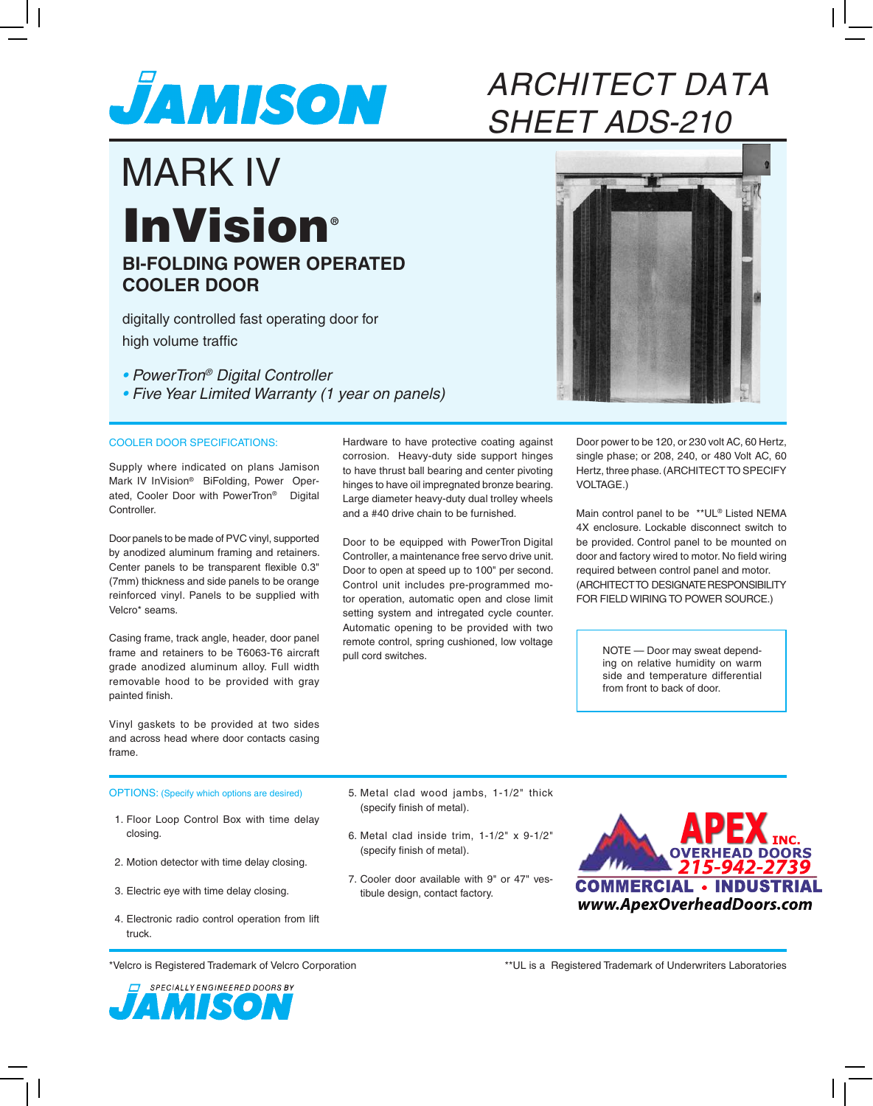

## ARCHITECT DATA SHEET ADS-210

## **BI-FOLDING POWER OPERATED COOLER DOOR** MARK IV **InVision®**

digitally controlled fast operating door for high volume traffic

• PowerTron® Digital Controller • Five Year Limited Warranty (1 year on panels)

## COOLER DOOR SPECIFICATIONS:

Supply where indicated on plans Jamison Mark IV InVision® BiFolding, Power Operated, Cooler Door with PowerTron® Digital Controller.

Door panels to be made of PVC vinyl, supported by anodized aluminum framing and retainers. Center panels to be transparent flexible 0.3" (7mm) thickness and side panels to be orange reinforced vinyl. Panels to be supplied with Velcro\* seams.

Casing frame, track angle, header, door panel frame and retainers to be T6063-T6 aircraft grade anodized aluminum alloy. Full width removable hood to be provided with gray painted finish.

Vinyl gaskets to be provided at two sides and across head where door contacts casing frame.

Hardware to have protective coating against corrosion. Heavy-duty side support hinges to have thrust ball bearing and center pivoting hinges to have oil impregnated bronze bearing. Large diameter heavy-duty dual trolley wheels and a #40 drive chain to be furnished.

Door to be equipped with PowerTron Digital Controller, a maintenance free servo drive unit. Door to open at speed up to 100" per second. Control unit includes pre-programmed motor operation, automatic open and close limit setting system and intregated cycle counter. Automatic opening to be provided with two remote control, spring cushioned, low voltage pull cord switches.

Door power to be 120, or 230 volt AC, 60 Hertz, single phase; or 208, 240, or 480 Volt AC, 60 Hertz, three phase. (ARCHITECT TO SPECIFY VOLTAGE.)

Main control panel to be \*\*UL® Listed NEMA 4X enclosure. Lockable disconnect switch to be provided. Control panel to be mounted on door and factory wired to motor. No field wiring required between control panel and motor. (ARCHITECT TO DESIGNATE RESPONSIBILITY FOR FIELD WIRING TO POWER SOURCE.)

> NOTE — Door may sweat depending on relative humidity on warm side and temperature differential from front to back of door.

OPTIONS: (Specify which options are desired) 5. Metal clad wood jambs, 1-1/2" thick

- 1. Floor Loop Control Box with time delay closing.
- 2. Motion detector with time delay closing.
- 3. Electric eye with time delay closing.
- 4. Electronic radio control operation from lift truck.
- (specify finish of metal).
- 6. Metal clad inside trim, 1-1/2" x 9-1/2" (specify finish of metal).
- 7. Cooler door available with 9" or 47" vestibule design, contact factory.



\*Velcro is Registered Trademark of Velcro Corporation



\*\*UL is a Registered Trademark of Underwriters Laboratories